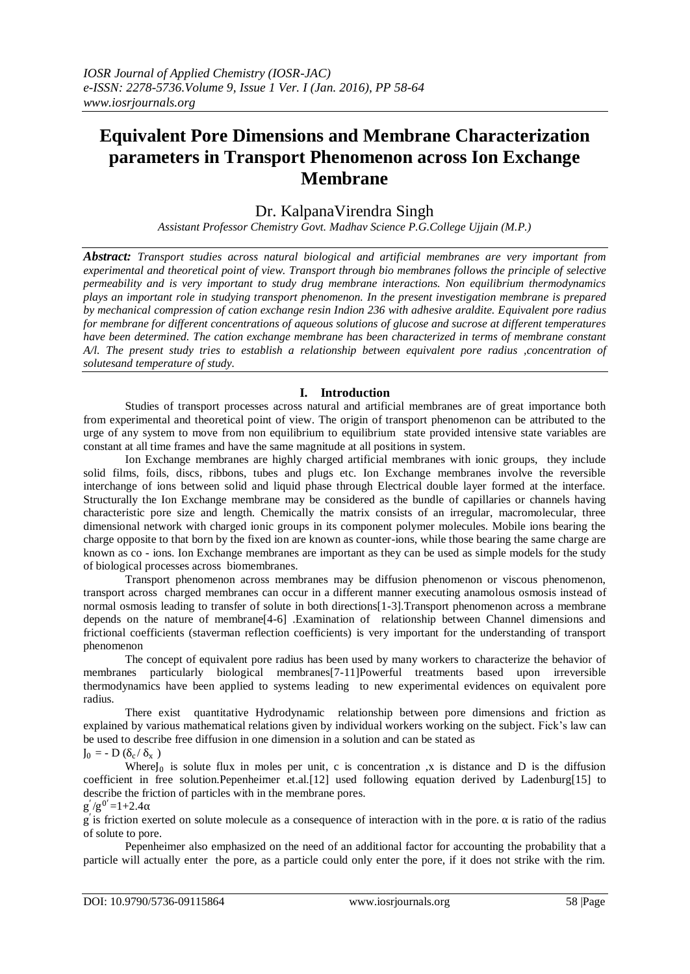# **Equivalent Pore Dimensions and Membrane Characterization parameters in Transport Phenomenon across Ion Exchange Membrane**

## Dr. KalpanaVirendra Singh

*Assistant Professor Chemistry Govt. Madhav Science P.G.College Ujjain (M.P.)*

*Abstract: Transport studies across natural biological and artificial membranes are very important from experimental and theoretical point of view. Transport through bio membranes follows the principle of selective permeability and is very important to study drug membrane interactions. Non equilibrium thermodynamics plays an important role in studying transport phenomenon. In the present investigation membrane is prepared by mechanical compression of cation exchange resin Indion 236 with adhesive araldite. Equivalent pore radius for membrane for different concentrations of aqueous solutions of glucose and sucrose at different temperatures have been determined. The cation exchange membrane has been characterized in terms of membrane constant A/l. The present study tries to establish a relationship between equivalent pore radius ,concentration of solutesand temperature of study.*

## **I. Introduction**

Studies of transport processes across natural and artificial membranes are of great importance both from experimental and theoretical point of view. The origin of transport phenomenon can be attributed to the urge of any system to move from non equilibrium to equilibrium state provided intensive state variables are constant at all time frames and have the same magnitude at all positions in system.

Ion Exchange membranes are highly charged artificial membranes with ionic groups, they include solid films, foils, discs, ribbons, tubes and plugs etc. Ion Exchange membranes involve the reversible interchange of ions between solid and liquid phase through Electrical double layer formed at the interface. Structurally the Ion Exchange membrane may be considered as the bundle of capillaries or channels having characteristic pore size and length. Chemically the matrix consists of an irregular, macromolecular, three dimensional network with charged ionic groups in its component polymer molecules. Mobile ions bearing the charge opposite to that born by the fixed ion are known as counter-ions, while those bearing the same charge are known as co - ions. Ion Exchange membranes are important as they can be used as simple models for the study of biological processes across biomembranes.

Transport phenomenon across membranes may be diffusion phenomenon or viscous phenomenon, transport across charged membranes can occur in a different manner executing anamolous osmosis instead of normal osmosis leading to transfer of solute in both directions[1-3].Transport phenomenon across a membrane depends on the nature of membrane[4-6] .Examination of relationship between Channel dimensions and frictional coefficients (staverman reflection coefficients) is very important for the understanding of transport phenomenon

The concept of equivalent pore radius has been used by many workers to characterize the behavior of membranes particularly biological membranes[7-11]Powerful treatments based upon irreversible thermodynamics have been applied to systems leading to new experimental evidences on equivalent pore radius.

There exist quantitative Hydrodynamic relationship between pore dimensions and friction as explained by various mathematical relations given by individual workers working on the subject. Fick"s law can be used to describe free diffusion in one dimension in a solution and can be stated as  $J_0 = - D (\delta_c / \delta_x)$ 

Where $J_0$  is solute flux in moles per unit, c is concentration ,x is distance and D is the diffusion coefficient in free solution.Pepenheimer et.al.[12] used following equation derived by Ladenburg[15] to describe the friction of particles with in the membrane pores.

 $g'/g^{0'}=1+2.4\alpha$ 

g ′ is friction exerted on solute molecule as a consequence of interaction with in the pore. α is ratio of the radius of solute to pore.

Pepenheimer also emphasized on the need of an additional factor for accounting the probability that a particle will actually enter the pore, as a particle could only enter the pore, if it does not strike with the rim.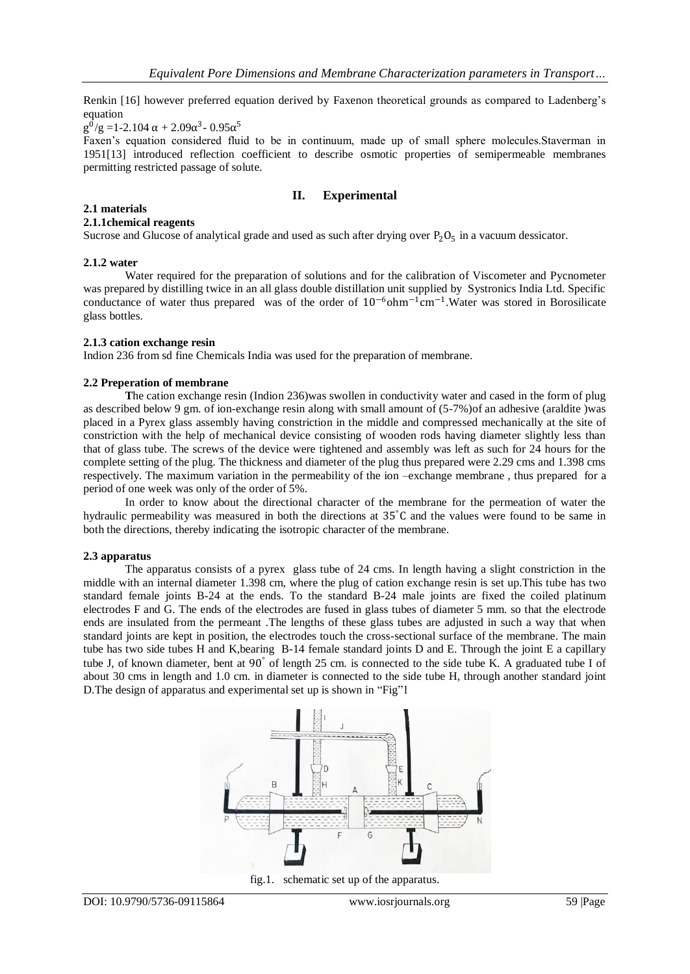Renkin [16] however preferred equation derived by Faxenon theoretical grounds as compared to Ladenberg"s equation

 $g^0/g = 1-2.104 \alpha + 2.09\alpha^3 - 0.95\alpha^5$ 

Faxen"s equation considered fluid to be in continuum, made up of small sphere molecules.Staverman in 1951[13] introduced reflection coefficient to describe osmotic properties of semipermeable membranes permitting restricted passage of solute.

## **II. Experimental**

#### **2.1 materials**

#### **2.1.1chemical reagents**

Sucrose and Glucose of analytical grade and used as such after drying over  $P_2O_5$  in a vacuum dessicator.

#### **2.1.2 water**

Water required for the preparation of solutions and for the calibration of Viscometer and Pycnometer was prepared by distilling twice in an all glass double distillation unit supplied by Systronics India Ltd. Specific conductance of water thus prepared was of the order of  $10^{-6}$ ohm<sup>-1</sup>cm<sup>-1</sup>. Water was stored in Borosilicate glass bottles.

#### **2.1.3 cation exchange resin**

Indion 236 from sd fine Chemicals India was used for the preparation of membrane.

#### **2.2 Preperation of membrane**

**T**he cation exchange resin (Indion 236)was swollen in conductivity water and cased in the form of plug as described below 9 gm. of ion-exchange resin along with small amount of (5-7%)of an adhesive (araldite )was placed in a Pyrex glass assembly having constriction in the middle and compressed mechanically at the site of constriction with the help of mechanical device consisting of wooden rods having diameter slightly less than that of glass tube. The screws of the device were tightened and assembly was left as such for 24 hours for the complete setting of the plug. The thickness and diameter of the plug thus prepared were 2.29 cms and 1.398 cms respectively. The maximum variation in the permeability of the ion –exchange membrane , thus prepared for a period of one week was only of the order of 5%.

In order to know about the directional character of the membrane for the permeation of water the hydraulic permeability was measured in both the directions at 35°C and the values were found to be same in both the directions, thereby indicating the isotropic character of the membrane.

#### **2.3 apparatus**

The apparatus consists of a pyrex glass tube of 24 cms. In length having a slight constriction in the middle with an internal diameter 1.398 cm, where the plug of cation exchange resin is set up.This tube has two standard female joints B-24 at the ends. To the standard B-24 male joints are fixed the coiled platinum electrodes F and G. The ends of the electrodes are fused in glass tubes of diameter 5 mm. so that the electrode ends are insulated from the permeant .The lengths of these glass tubes are adjusted in such a way that when standard joints are kept in position, the electrodes touch the cross-sectional surface of the membrane. The main tube has two side tubes H and K,bearing B-14 female standard joints D and E. Through the joint E a capillary tube J, of known diameter, bent at 90° of length 25 cm. is connected to the side tube K. A graduated tube I of about 30 cms in length and 1.0 cm. in diameter is connected to the side tube H, through another standard joint D.The design of apparatus and experimental set up is shown in "Fig"1



fig.1. schematic set up of the apparatus.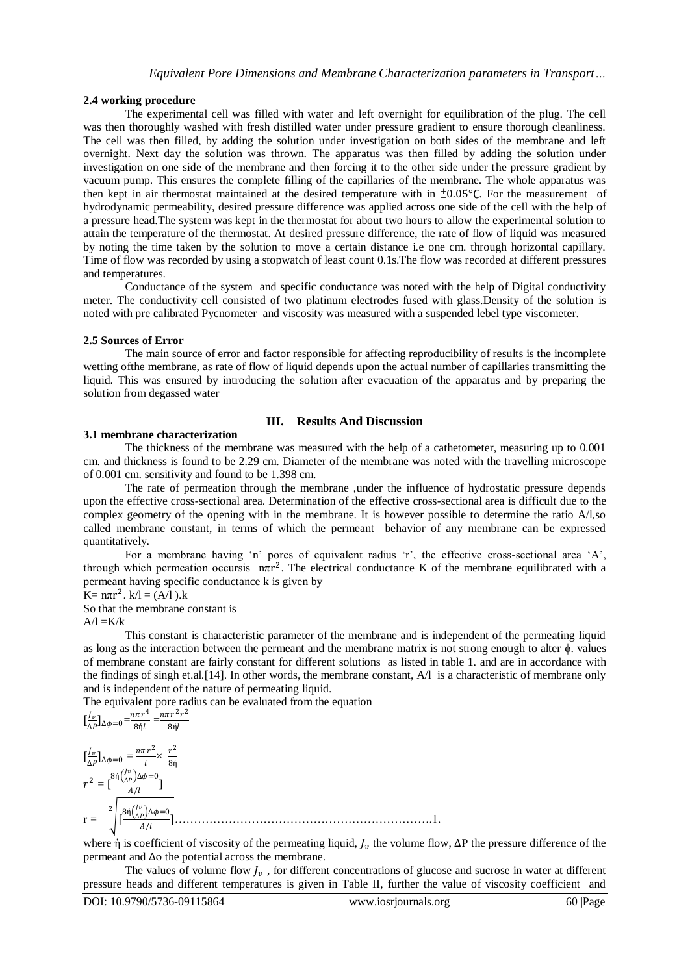#### **2.4 working procedure**

The experimental cell was filled with water and left overnight for equilibration of the plug. The cell was then thoroughly washed with fresh distilled water under pressure gradient to ensure thorough cleanliness. The cell was then filled, by adding the solution under investigation on both sides of the membrane and left overnight. Next day the solution was thrown. The apparatus was then filled by adding the solution under investigation on one side of the membrane and then forcing it to the other side under the pressure gradient by vacuum pump. This ensures the complete filling of the capillaries of the membrane. The whole apparatus was then kept in air thermostat maintained at the desired temperature with in  $\pm 0.05$ °C. For the measurement of hydrodynamic permeability, desired pressure difference was applied across one side of the cell with the help of a pressure head.The system was kept in the thermostat for about two hours to allow the experimental solution to attain the temperature of the thermostat. At desired pressure difference, the rate of flow of liquid was measured by noting the time taken by the solution to move a certain distance i.e one cm. through horizontal capillary. Time of flow was recorded by using a stopwatch of least count 0.1s.The flow was recorded at different pressures and temperatures.

Conductance of the system and specific conductance was noted with the help of Digital conductivity meter. The conductivity cell consisted of two platinum electrodes fused with glass.Density of the solution is noted with pre calibrated Pycnometer and viscosity was measured with a suspended lebel type viscometer.

#### **2.5 Sources of Error**

The main source of error and factor responsible for affecting reproducibility of results is the incomplete wetting ofthe membrane, as rate of flow of liquid depends upon the actual number of capillaries transmitting the liquid. This was ensured by introducing the solution after evacuation of the apparatus and by preparing the solution from degassed water

## **III. Results And Discussion**

#### **3.1 membrane characterization**

The thickness of the membrane was measured with the help of a cathetometer, measuring up to 0.001 cm. and thickness is found to be 2.29 cm. Diameter of the membrane was noted with the travelling microscope of 0.001 cm. sensitivity and found to be 1.398 cm.

The rate of permeation through the membrane ,under the influence of hydrostatic pressure depends upon the effective cross-sectional area. Determination of the effective cross-sectional area is difficult due to the complex geometry of the opening with in the membrane. It is however possible to determine the ratio A/l,so called membrane constant, in terms of which the permeant behavior of any membrane can be expressed quantitatively.

For a membrane having 'n' pores of equivalent radius 'r', the effective cross-sectional area 'A', through which permeation occursis  $n\pi r^2$ . The electrical conductance K of the membrane equilibrated with a permeant having specific conductance k is given by

$$
K = n\pi r^2
$$
.  $k/l = (A/l)$ . $k$ 

So that the membrane constant is  $A/I = K/k$ 

This constant is characteristic parameter of the membrane and is independent of the permeating liquid as long as the interaction between the permeant and the membrane matrix is not strong enough to alter ϕ. values of membrane constant are fairly constant for different solutions as listed in table 1. and are in accordance with the findings of singh et.al.[14]. In other words, the membrane constant, A/l is a characteristic of membrane only and is independent of the nature of permeating liquid.

The equivalent pore radius can be evaluated from the equation

$$
\left[\frac{l_v}{\Delta P}\right]_{\Delta \phi=0} = \frac{n\pi r^4}{8\eta l} = \frac{n\pi r^2 r^2}{8\eta l}
$$
\n
$$
\left[\frac{l_v}{\Delta P}\right]_{\Delta \phi=0} = \frac{n\pi r^2}{l} \times \frac{r^2}{8\eta}
$$
\n
$$
r^2 = \left[\frac{8\eta \left(\frac{l_v}{\Delta P}\right)_{\Delta \phi=0}}{4/l}\right]
$$
\n
$$
r = \sqrt[2]{\frac{8\eta \left(\frac{l_v}{\Delta P}\right)_{\Delta \phi=0}}{4/l}}.
$$

where  $\dot{\eta}$  is coefficient of viscosity of the permeating liquid,  $J_\nu$  the volume flow,  $\Delta P$  the pressure difference of the permeant and ∆ϕ the potential across the membrane.

The values of volume flow  $J_\nu$ , for different concentrations of glucose and sucrose in water at different pressure heads and different temperatures is given in Table II, further the value of viscosity coefficient and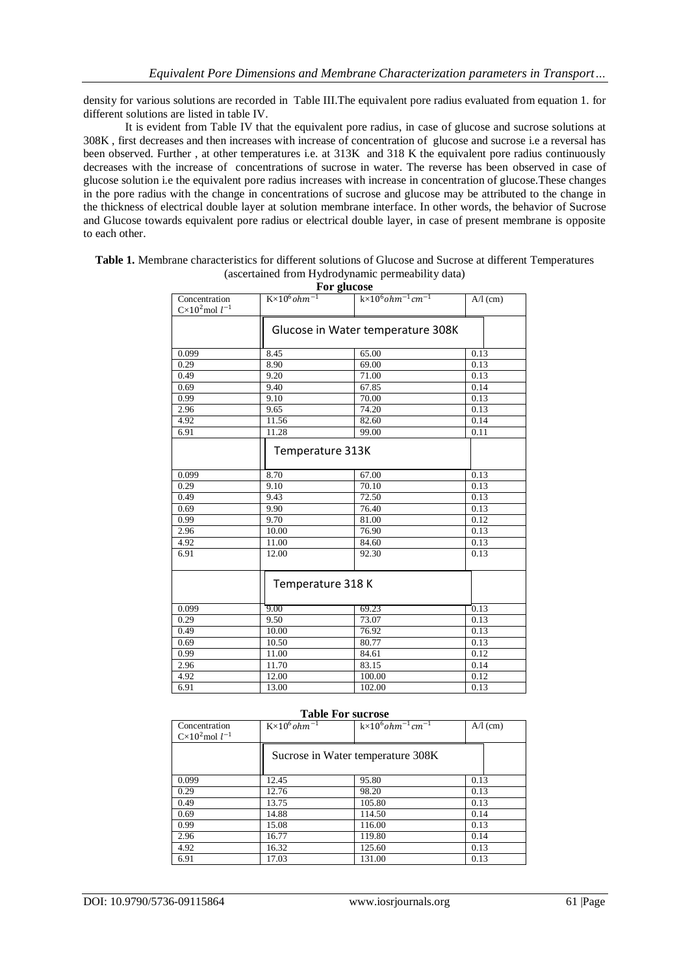density for various solutions are recorded in Table III.The equivalent pore radius evaluated from equation 1. for different solutions are listed in table IV.

It is evident from Table IV that the equivalent pore radius, in case of glucose and sucrose solutions at 308K , first decreases and then increases with increase of concentration of glucose and sucrose i.e a reversal has been observed. Further , at other temperatures i.e. at 313K and 318 K the equivalent pore radius continuously decreases with the increase of concentrations of sucrose in water. The reverse has been observed in case of glucose solution i.e the equivalent pore radius increases with increase in concentration of glucose.These changes in the pore radius with the change in concentrations of sucrose and glucose may be attributed to the change in the thickness of electrical double layer at solution membrane interface. In other words, the behavior of Sucrose and Glucose towards equivalent pore radius or electrical double layer, in case of present membrane is opposite to each other.

|                                               |                                   | For glucose                            |            |
|-----------------------------------------------|-----------------------------------|----------------------------------------|------------|
| Concentration<br>$C \times 10^2$ mol $l^{-1}$ | $K \times 10^6$ ohm <sup>-1</sup> | $k \times 10^6$ ohm $^{-1}$ cm $^{-1}$ | $A/I$ (cm) |
|                                               |                                   | Glucose in Water temperature 308K      |            |
| 0.099                                         | 8.45                              | 65.00                                  | 0.13       |
| 0.29                                          | 8.90                              | 69.00                                  | 0.13       |
| 0.49                                          | 9.20                              | 71.00                                  | 0.13       |
| 0.69                                          | 9.40                              | 67.85                                  | 0.14       |
| 0.99                                          | 9.10                              | 70.00                                  | 0.13       |
| 2.96                                          | 9.65                              | 74.20                                  | 0.13       |
| 4.92                                          | 11.56                             | 82.60                                  | 0.14       |
| 6.91                                          | 11.28                             | 99.00                                  | 0.11       |
|                                               | Temperature 313K                  |                                        |            |
| 0.099                                         | 8.70                              | 67.00                                  | 0.13       |
| 0.29                                          | 9.10                              | 70.10                                  | 0.13       |
| 0.49                                          | 9.43                              | 72.50                                  | 0.13       |
| 0.69                                          | 9.90                              | 76.40                                  | 0.13       |
| 0.99                                          | 9.70                              | 81.00                                  | 0.12       |
| 2.96                                          | 10.00                             | 76.90                                  | 0.13       |
| 4.92                                          | 11.00                             | 84.60                                  | 0.13       |
| 6.91                                          | 12.00                             | 92.30                                  | 0.13       |
|                                               | Temperature 318 K                 |                                        |            |
| 0.099                                         | 9.00                              | 69.23                                  | 0.13       |
| 0.29                                          | 9.50                              | 73.07                                  | 0.13       |
| 0.49                                          | 10.00                             | 76.92                                  | 0.13       |
| 0.69                                          | 10.50                             | 80.77                                  | 0.13       |
| 0.99                                          | 11.00                             | 84.61                                  | 0.12       |
| 2.96                                          | 11.70                             | 83.15                                  | 0.14       |
| 4.92                                          | 12.00                             | 100.00                                 | 0.12       |
| 6.91                                          | 13.00                             | 102.00                                 | 0.13       |

**Table 1.** Membrane characteristics for different solutions of Glucose and Sucrose at different Temperatures (ascertained from Hydrodynamic permeability data)

|                                    |                                   | <b>Table For sucrose</b>               |            |
|------------------------------------|-----------------------------------|----------------------------------------|------------|
| Concentration<br>$Cx102$ mol $l-1$ | $K \times 10^6$ ohm <sup>-1</sup> | $k \times 10^6$ ohm $^{-1}$ cm $^{-1}$ | $A/I$ (cm) |
|                                    |                                   | Sucrose in Water temperature 308K      |            |
| 0.099                              | 12.45                             | 95.80                                  | 0.13       |
| 0.29                               | 12.76                             | 98.20                                  | 0.13       |
| 0.49                               | 13.75                             | 105.80                                 | 0.13       |
| 0.69                               | 14.88                             | 114.50                                 | 0.14       |
| 0.99                               | 15.08                             | 116.00                                 | 0.13       |
| 2.96                               | 16.77                             | 119.80                                 | 0.14       |
| 4.92                               | 16.32                             | 125.60                                 | 0.13       |
| 6.91                               | 17.03                             | 131.00                                 | 0.13       |

DOI: 10.9790/5736-09115864 www.iosrjournals.org 61 |Page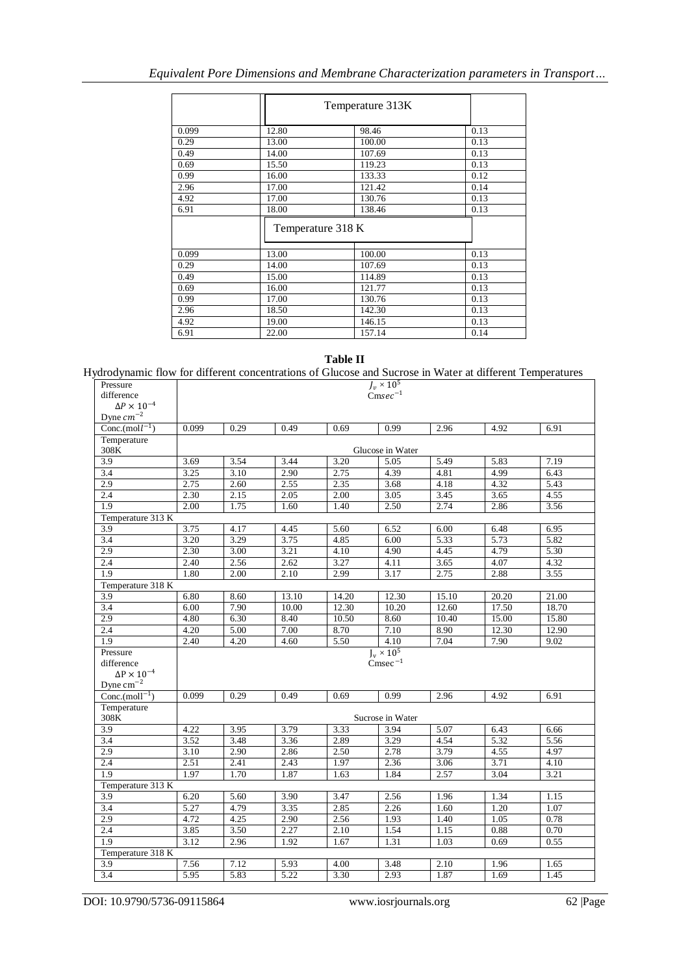|       |                   | Temperature 313K |      |
|-------|-------------------|------------------|------|
| 0.099 | 12.80             | 98.46            | 0.13 |
| 0.29  | 13.00             | 100.00           | 0.13 |
| 0.49  | 14.00             | 107.69           | 0.13 |
| 0.69  | 15.50             | 119.23           | 0.13 |
| 0.99  | 16.00             | 133.33           | 0.12 |
| 2.96  | 17.00             | 121.42           | 0.14 |
| 4.92  | 17.00             | 130.76           | 0.13 |
| 6.91  | 18.00             | 138.46           | 0.13 |
|       | Temperature 318 K |                  |      |
| 0.099 | 13.00             | 100.00           | 0.13 |
| 0.29  | 14.00             | 107.69           | 0.13 |
| 0.49  | 15.00             | 114.89           | 0.13 |
| 0.69  | 16.00             | 121.77           | 0.13 |
| 0.99  | 17.00             | 130.76           | 0.13 |
| 2.96  | 18.50             | 142.30           | 0.13 |
| 4.92  | 19.00             | 146.15           | 0.13 |
| 6.91  | 22.00             | 157.14           | 0.14 |

#### **Table II**

## Hydrodynamic flow for different concentrations of Glucose and Sucrose in Water at different Temperatures

| Pressure                         | $J_v \times 10^5$<br>Cmsec <sup>-1</sup> |                   |       |       |                   |       |       |       |
|----------------------------------|------------------------------------------|-------------------|-------|-------|-------------------|-------|-------|-------|
| difference                       |                                          |                   |       |       |                   |       |       |       |
| $\Delta P \times 10^{-4}$        |                                          |                   |       |       |                   |       |       |       |
| Dyne $cm^{-2}$                   |                                          |                   |       |       |                   |       |       |       |
| Conc.(mol $l^{-1}$ )             | 0.099                                    | 0.29              | 0.49  | 0.69  | 0.99              | 2.96  | 4.92  | 6.91  |
| Temperature                      |                                          |                   |       |       |                   |       |       |       |
| 308K                             |                                          |                   |       |       | Glucose in Water  |       |       |       |
| 3.9                              | 3.69                                     | 3.54              | 3.44  | 3.20  | 5.05              | 5.49  | 5.83  | 7.19  |
| 3.4                              | 3.25                                     | $\overline{3.10}$ | 2.90  | 2.75  | 4.39              | 4.81  | 4.99  | 6.43  |
| 2.9                              | 2.75                                     | 2.60              | 2.55  | 2.35  | 3.68              | 4.18  | 4.32  | 5.43  |
| 2.4                              | 2.30                                     | 2.15              | 2.05  | 2.00  | 3.05              | 3.45  | 3.65  | 4.55  |
| $\overline{1.9}$                 | 2.00                                     | 1.75              | 1.60  | 1.40  | 2.50              | 2.74  | 2.86  | 3.56  |
|                                  | Temperature 313 K                        |                   |       |       |                   |       |       |       |
| 3.9                              | 3.75                                     | 4.17              | 4.45  | 5.60  | 6.52              | 6.00  | 6.48  | 6.95  |
| 3.4                              | 3.20                                     | 3.29              | 3.75  | 4.85  | 6.00              | 5.33  | 5.73  | 5.82  |
| 2.9                              | 2.30                                     | 3.00              | 3.21  | 4.10  | 4.90              | 4.45  | 4.79  | 5.30  |
| 2.4                              | 2.40                                     | 2.56              | 2.62  | 3.27  | 4.11              | 3.65  | 4.07  | 4.32  |
| 1.9                              | 1.80                                     | 2.00              | 2.10  | 2.99  | 3.17              | 2.75  | 2.88  | 3.55  |
| Temperature 318 K                |                                          |                   |       |       |                   |       |       |       |
| 3.9                              | 6.80                                     | 8.60              | 13.10 | 14.20 | 12.30             | 15.10 | 20.20 | 21.00 |
| 3.4                              | 6.00                                     | 7.90              | 10.00 | 12.30 | 10.20             | 12.60 | 17.50 | 18.70 |
| 2.9                              | 4.80                                     | 6.30              | 8.40  | 10.50 | 8.60              | 10.40 | 15.00 | 15.80 |
| 2.4                              | 4.20                                     | 5.00              | 7.00  | 8.70  | 7.10              | 8.90  | 12.30 | 12.90 |
| $\overline{1.9}$                 | 2.40                                     | 4.20              | 4.60  | 5.50  | 4.10              | 7.04  | 7.90  | 9.02  |
| Pressure                         |                                          |                   |       |       | $J_v \times 10^5$ |       |       |       |
| difference                       |                                          |                   |       |       | $Cmsec^{-1}$      |       |       |       |
| $\Delta \text{P} \times 10^{-4}$ |                                          |                   |       |       |                   |       |       |       |
| Dyne $cm^{-2}$                   |                                          |                   |       |       |                   |       |       |       |
| Conc. $(moll-1)$                 | 0.099                                    | 0.29              | 0.49  | 0.69  | 0.99              | 2.96  | 4.92  | 6.91  |
| Temperature                      |                                          |                   |       |       |                   |       |       |       |
| 308K                             |                                          |                   |       |       | Sucrose in Water  |       |       |       |
| 3.9                              | 4.22                                     | 3.95              | 3.79  | 3.33  | 3.94              | 5.07  | 6.43  | 6.66  |
| 3.4                              | 3.52                                     | 3.48              | 3.36  | 2.89  | 3.29              | 4.54  | 5.32  | 5.56  |
| 2.9                              | 3.10                                     | 2.90              | 2.86  | 2.50  | 2.78              | 3.79  | 4.55  | 4.97  |
| 2.4                              | 2.51                                     | 2.41              | 2.43  | 1.97  | 2.36              | 3.06  | 3.71  | 4.10  |
| 1.9                              | 1.97                                     | 1.70              | 1.87  | 1.63  | 1.84              | 2.57  | 3.04  | 3.21  |
| Temperature 313 K                |                                          |                   |       |       |                   |       |       |       |
| 3.9                              | 6.20                                     | 5.60              | 3.90  | 3.47  | 2.56              | 1.96  | 1.34  | 1.15  |
| 3.4                              | 5.27                                     | 4.79              | 3.35  | 2.85  | 2.26              | 1.60  | 1.20  | 1.07  |
| 2.9                              | 4.72                                     | 4.25              | 2.90  | 2.56  | 1.93              | 1.40  | 1.05  | 0.78  |
| 2.4                              | 3.85                                     | 3.50              | 2.27  | 2.10  | 1.54              | 1.15  | 0.88  | 0.70  |
| 1.9                              | 3.12                                     | 2.96              | 1.92  | 1.67  | 1.31              | 1.03  | 0.69  | 0.55  |
| Temperature 318 K                |                                          |                   |       |       |                   |       |       |       |
| 3.9                              | 7.56                                     | 7.12              | 5.93  | 4.00  | 3.48              | 2.10  | 1.96  | 1.65  |
| 3.4                              | 5.95                                     | 5.83              | 5.22  | 3.30  | 2.93              | 1.87  | 1.69  | 1.45  |

DOI: 10.9790/5736-09115864 www.iosrjournals.org 62 |Page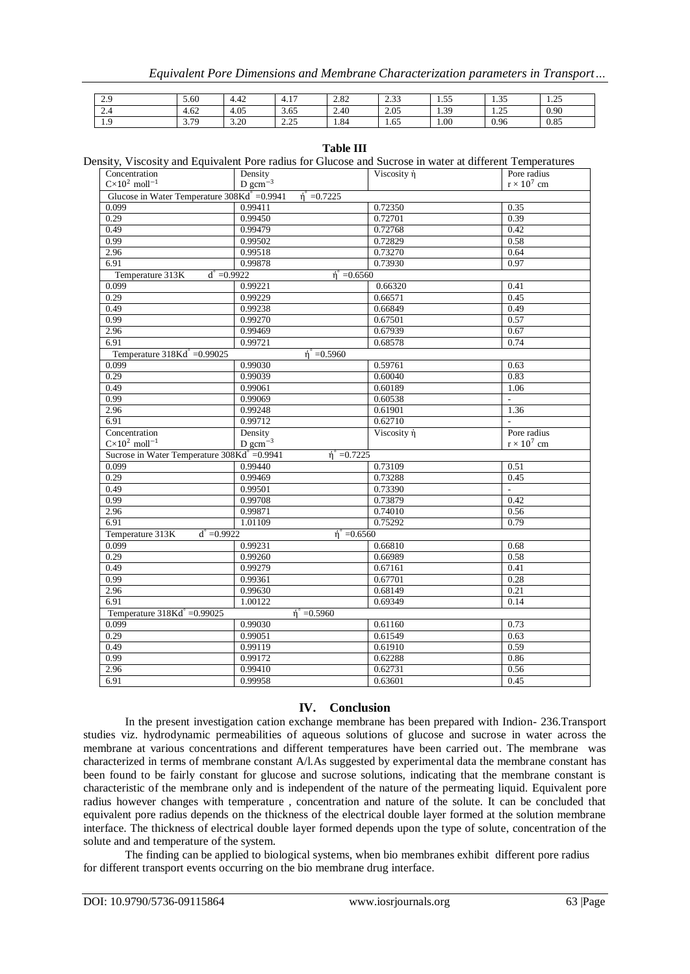| 2.9           | 5.60             | $\Delta$<br>4.4∠ | $\sim$<br>4.1.  | 2.82 | 0.22<br>ر ر.ر | 55<br>ر ر. د | $. \neg$<br>ں رہ د         | $\cap \subset$<br>ر ے . |
|---------------|------------------|------------------|-----------------|------|---------------|--------------|----------------------------|-------------------------|
| $\sim$<br>2.4 | 4.62             | 4.05             | 3.65            | 2.40 | 2.05          | 1.39         | $\Delta$ $\epsilon$<br>رے. | 0.90                    |
| 1.9           | . 70<br><u>.</u> | 3.20             | 2.25<br>ر ے . ب | 1.84 | 1.65          | 1.00         | 0.96                       | 0.85                    |

Density, Viscosity and Equivalent Pore radius for Glucose and Sucrose in water at different Temperatures

| Concentration                                          | Density                                            | Viscosity ή | Pore radius        |
|--------------------------------------------------------|----------------------------------------------------|-------------|--------------------|
| $C \times 10^2$ moll <sup>-1</sup>                     | $D gcm^{-3}$                                       |             | $r \times 10^7$ cm |
| Glucose in Water Temperature $308\text{Kd}^8 = 0.9941$ | $\hat{n}^{\circ} = 0.7225$                         |             |                    |
| 0.099                                                  | 0.99411                                            | 0.72350     | 0.35               |
| 0.29                                                   | 0.99450                                            | 0.72701     | 0.39               |
| 0.49                                                   | 0.99479                                            | 0.72768     | 0.42               |
| 0.99                                                   | 0.99502                                            | 0.72829     | 0.58               |
| 2.96                                                   | 0.99518                                            | 0.73270     | 0.64               |
| 6.91                                                   | 0.99878                                            | 0.73930     | 0.97               |
| Temperature 313K                                       | $d^{\circ} = 0.9922$<br>$\hat{n}^{\circ} = 0.6560$ |             |                    |
| 0.099                                                  | 0.99221                                            | 0.66320     | 0.41               |
| 0.29                                                   | 0.99229                                            | 0.45        |                    |
| 0.49                                                   | 0.99238                                            | 0.66849     | 0.49               |
| 0.99                                                   | 0.99270                                            | 0.67501     | 0.57               |
| 2.96                                                   | 0.99469                                            | 0.67939     | 0.67               |
| 6.91                                                   | 0.99721                                            | 0.68578     | 0.74               |
| Temperature $318Kd^{\circ} = 0.99025$                  | $\hat{n}$ = 0.5960                                 |             |                    |
| 0.099                                                  | 0.99030                                            | 0.59761     | 0.63               |
| 0.29                                                   | 0.99039                                            | 0.60040     | 0.83               |
| 0.49                                                   | 0.99061                                            | 0.60189     | 1.06               |
| 0.99                                                   | 0.99069                                            | 0.60538     | L,                 |
| 2.96                                                   | 0.99248                                            | 0.61901     | 1.36               |
| 6.91                                                   | 0.99712                                            | 0.62710     | $\overline{a}$     |
| Concentration                                          | Density                                            | Viscosity ή | Pore radius        |
| $C\times10^2$ moll <sup>-1</sup>                       | $D \text{ gcm}^{-3}$                               |             | $r \times 10^7$ cm |
| Sucrose in Water Temperature 308Kd° =0.9941            | $\eta^{\circ} = 0.7225$                            |             |                    |
|                                                        |                                                    |             |                    |
| 0.099                                                  | 0.99440                                            | 0.73109     | 0.51               |
| 0.29                                                   | 0.99469                                            | 0.73288     | 0.45               |
| 0.49                                                   | 0.99501                                            | 0.73390     |                    |
| 0.99                                                   | 0.99708                                            | 0.73879     | 0.42               |
| 2.96                                                   | 0.99871                                            | 0.74010     | 0.56               |
| 6.91                                                   | 1.01109                                            | 0.75292     | 0.79               |
| Temperature 313K<br>$d^{\circ} = 0.9922$               | $\eta^{\circ} = 0.6560$                            |             |                    |
| 0.099                                                  | 0.99231                                            | 0.66810     | 0.68               |
| 0.29                                                   | 0.99260                                            | 0.66989     | 0.58               |
| 0.49                                                   | 0.99279                                            | 0.67161     | 0.41               |
| 0.99                                                   | 0.99361                                            | 0.67701     | 0.28               |
| 2.96                                                   | 0.99630                                            | 0.68149     | 0.21               |
| 6.91                                                   | 1.00122                                            | 0.69349     | 0.14               |
| Temperature 318Kd° =0.99025                            | $\hat{n}$ <sup>°</sup> = 0.5960                    |             |                    |
| 0.099                                                  | 0.99030                                            | 0.61160     | 0.73               |
| 0.29                                                   | 0.99051                                            | 0.61549     | 0.63               |
| 0.49                                                   | 0.99119                                            | 0.61910     | 0.59               |
| 0.99                                                   | 0.99172                                            | 0.62288     | 0.86               |
| 2.96                                                   | 0.99410                                            | 0.62731     | 0.56               |
| 6.91                                                   | 0.99958                                            | 0.63601     | 0.45               |

### **IV. Conclusion**

In the present investigation cation exchange membrane has been prepared with Indion- 236.Transport studies viz. hydrodynamic permeabilities of aqueous solutions of glucose and sucrose in water across the membrane at various concentrations and different temperatures have been carried out. The membrane was characterized in terms of membrane constant A/l.As suggested by experimental data the membrane constant has been found to be fairly constant for glucose and sucrose solutions, indicating that the membrane constant is characteristic of the membrane only and is independent of the nature of the permeating liquid. Equivalent pore radius however changes with temperature , concentration and nature of the solute. It can be concluded that equivalent pore radius depends on the thickness of the electrical double layer formed at the solution membrane interface. The thickness of electrical double layer formed depends upon the type of solute, concentration of the solute and and temperature of the system.

The finding can be applied to biological systems, when bio membranes exhibit different pore radius for different transport events occurring on the bio membrane drug interface.